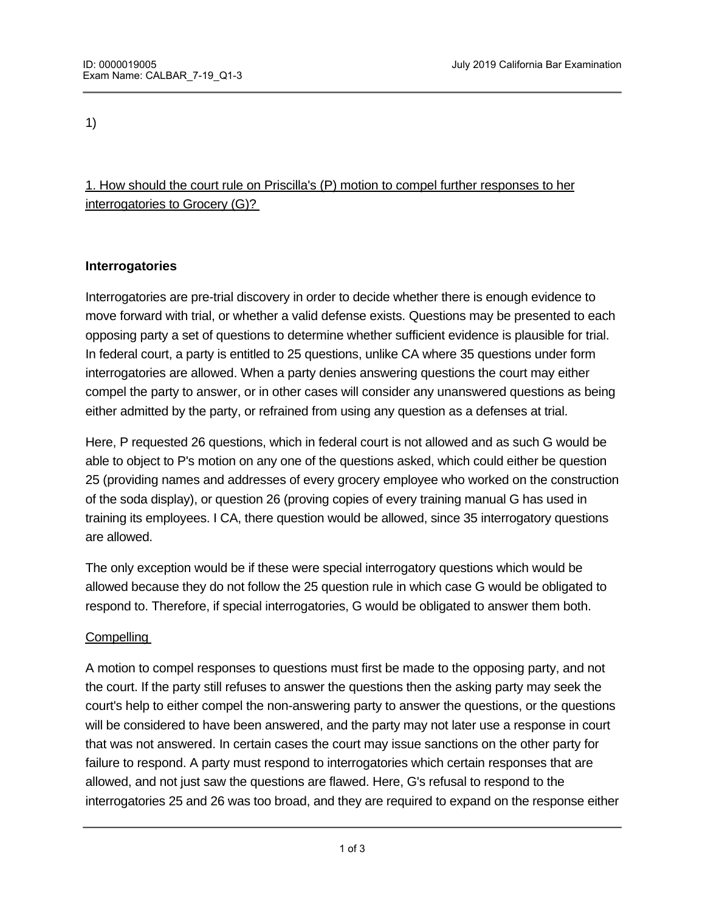1)

# 1. How should the court rule on Priscilla's (P) motion to compel further responses to her interrogatories to Grocery (G)?

# **Interrogatories**

Interrogatories are pre-trial discovery in order to decide whether there is enough evidence to move forward with trial, or whether a valid defense exists. Questions may be presented to each opposing party a set of questions to determine whether sufficient evidence is plausible for trial. In federal court, a party is entitled to 25 questions, unlike CA where 35 questions under form interrogatories are allowed. When a party denies answering questions the court may either compel the party to answer, or in other cases will consider any unanswered questions as being either admitted by the party, or refrained from using any question as a defenses at trial.

Here, P requested 26 questions, which in federal court is not allowed and as such G would be able to object to P's motion on any one of the questions asked, which could either be question 25 (providing names and addresses of every grocery employee who worked on the construction of the soda display), or question 26 (proving copies of every training manual G has used in training its employees. I CA, there question would be allowed, since 35 interrogatory questions are allowed.

The only exception would be if these were special interrogatory questions which would be allowed because they do not follow the 25 question rule in which case G would be obligated to respond to. Therefore, if special interrogatories, G would be obligated to answer them both.

## **Compelling**

A motion to compel responses to questions must first be made to the opposing party, and not the court. If the party still refuses to answer the questions then the asking party may seek the court's help to either compel the non-answering party to answer the questions, or the questions will be considered to have been answered, and the party may not later use a response in court that was not answered. In certain cases the court may issue sanctions on the other party for failure to respond. A party must respond to interrogatories which certain responses that are allowed, and not just saw the questions are flawed. Here, G's refusal to respond to the interrogatories 25 and 26 was too broad, and they are required to expand on the response either

by asking for clarification of the question or that the questions are not to burdensome.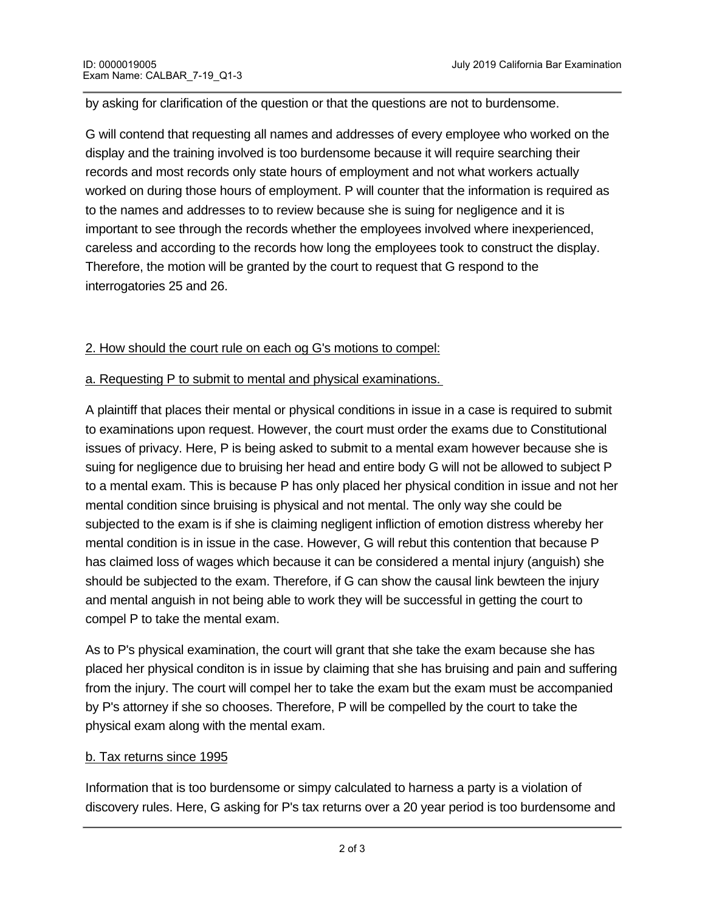by asking for clarification of the question or that the questions are not to burdensome.

G will contend that requesting all names and addresses of every employee who worked on the display and the training involved is too burdensome because it will require searching their records and most records only state hours of employment and not what workers actually worked on during those hours of employment. P will counter that the information is required as to the names and addresses to to review because she is suing for negligence and it is important to see through the records whether the employees involved where inexperienced, careless and according to the records how long the employees took to construct the display. Therefore, the motion will be granted by the court to request that G respond to the interrogatories 25 and 26.

#### 2. How should the court rule on each og G's motions to compel:

#### a. Requesting P to submit to mental and physical examinations.

A plaintiff that places their mental or physical conditions in issue in a case is required to submit to examinations upon request. However, the court must order the exams due to Constitutional issues of privacy. Here, P is being asked to submit to a mental exam however because she is suing for negligence due to bruising her head and entire body G will not be allowed to subject P to a mental exam. This is because P has only placed her physical condition in issue and not her mental condition since bruising is physical and not mental. The only way she could be subjected to the exam is if she is claiming negligent infliction of emotion distress whereby her mental condition is in issue in the case. However, G will rebut this contention that because P has claimed loss of wages which because it can be considered a mental injury (anguish) she should be subjected to the exam. Therefore, if G can show the causal link bewteen the injury and mental anguish in not being able to work they will be successful in getting the court to compel P to take the mental exam.

As to P's physical examination, the court will grant that she take the exam because she has placed her physical conditon is in issue by claiming that she has bruising and pain and suffering from the injury. The court will compel her to take the exam but the exam must be accompanied by P's attorney if she so chooses. Therefore, P will be compelled by the court to take the physical exam along with the mental exam.

## b. Tax returns since 1995

Information that is too burdensome or simpy calculated to harness a party is a violation of discovery rules. Here, G asking for P's tax returns over a 20 year period is too burdensome and